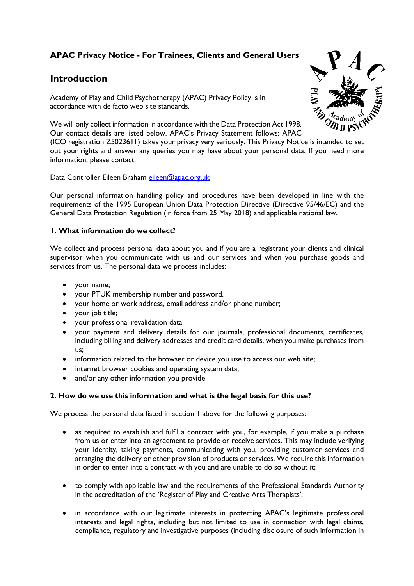# **APAC Privacy Notice - For Trainees, Clients and General Users**

# **Introduction**

Academy of Play and Child Psychotherapy (APAC) Privacy Policy is in accordance with de facto web site standards.

We will only collect information in accordance with the Data Protection Act 1998. Our contact details are listed below. APAC's Privacy Statement follows: APAC

(ICO registration Z5023611) takes your privacy very seriously. This Privacy Notice is intended to set out your rights and answer any queries you may have about your personal data. If you need more information, please contact:

Data Controller Eileen Braham [eileen@apac.org.uk](mailto:eileen@apac.org.uk) 

Our personal information handling policy and procedures have been developed in line with the requirements of the 1995 European Union Data Protection Directive (Directive 95/46/EC) and the General Data Protection Regulation (in force from 25 May 2018) and applicable national law.

### **1. What information do we collect?**

We collect and process personal data about you and if you are a registrant your clients and clinical supervisor when you communicate with us and our services and when you purchase goods and services from us. The personal data we process includes:

- your name;
- your PTUK membership number and password.
- your home or work address, email address and/or phone number;
- your job title;
- your professional revalidation data
- your payment and delivery details for our journals, professional documents, certificates, including billing and delivery addresses and credit card details, when you make purchases from us;
- information related to the browser or device you use to access our web site;
- internet browser cookies and operating system data;
- and/or any other information you provide

## **2. How do we use this information and what is the legal basis for this use?**

We process the personal data listed in section 1 above for the following purposes:

- as required to establish and fulfil a contract with you, for example, if you make a purchase from us or enter into an agreement to provide or receive services. This may include verifying your identity, taking payments, communicating with you, providing customer services and arranging the delivery or other provision of products or services. We require this information in order to enter into a contract with you and are unable to do so without it;
- to comply with applicable law and the requirements of the Professional Standards Authority in the accreditation of the 'Register of Play and Creative Arts Therapists';
- in accordance with our legitimate interests in protecting APAC's legitimate professional interests and legal rights, including but not limited to use in connection with legal claims, compliance, regulatory and investigative purposes (including disclosure of such information in

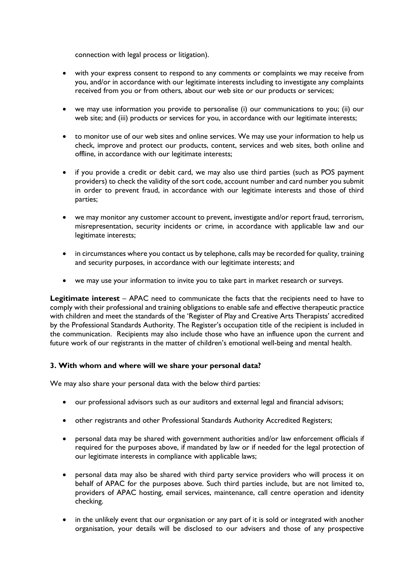connection with legal process or litigation).

- with your express consent to respond to any comments or complaints we may receive from you, and/or in accordance with our legitimate interests including to investigate any complaints received from you or from others, about our web site or our products or services;
- we may use information you provide to personalise (i) our communications to you; (ii) our web site; and (iii) products or services for you, in accordance with our legitimate interests;
- to monitor use of our web sites and online services. We may use your information to help us check, improve and protect our products, content, services and web sites, both online and offline, in accordance with our legitimate interests;
- if you provide a credit or debit card, we may also use third parties (such as POS payment providers) to check the validity of the sort code, account number and card number you submit in order to prevent fraud, in accordance with our legitimate interests and those of third parties;
- we may monitor any customer account to prevent, investigate and/or report fraud, terrorism, misrepresentation, security incidents or crime, in accordance with applicable law and our legitimate interests;
- in circumstances where you contact us by telephone, calls may be recorded for quality, training and security purposes, in accordance with our legitimate interests; and
- we may use your information to invite you to take part in market research or surveys.

**Legitimate interest** – APAC need to communicate the facts that the recipients need to have to comply with their professional and training obligations to enable safe and effective therapeutic practice with children and meet the standards of the 'Register of Play and Creative Arts Therapists' accredited by the Professional Standards Authority. The Register's occupation title of the recipient is included in the communication. Recipients may also include those who have an influence upon the current and future work of our registrants in the matter of children's emotional well-being and mental health.

## **3. With whom and where will we share your personal data?**

We may also share your personal data with the below third parties:

- our professional advisors such as our auditors and external legal and financial advisors;
- other registrants and other Professional Standards Authority Accredited Registers;
- personal data may be shared with government authorities and/or law enforcement officials if required for the purposes above, if mandated by law or if needed for the legal protection of our legitimate interests in compliance with applicable laws;
- personal data may also be shared with third party service providers who will process it on behalf of APAC for the purposes above. Such third parties include, but are not limited to, providers of APAC hosting, email services, maintenance, call centre operation and identity checking.
- in the unlikely event that our organisation or any part of it is sold or integrated with another organisation, your details will be disclosed to our advisers and those of any prospective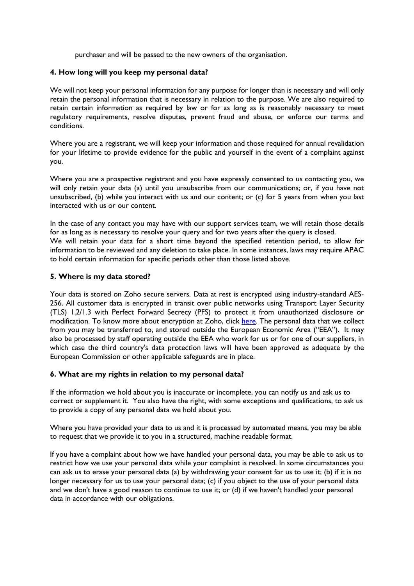purchaser and will be passed to the new owners of the organisation.

#### **4. How long will you keep my personal data?**

We will not keep your personal information for any purpose for longer than is necessary and will only retain the personal information that is necessary in relation to the purpose. We are also required to retain certain information as required by law or for as long as is reasonably necessary to meet regulatory requirements, resolve disputes, prevent fraud and abuse, or enforce our terms and conditions.

Where you are a registrant, we will keep your information and those required for annual revalidation for your lifetime to provide evidence for the public and yourself in the event of a complaint against you.

Where you are a prospective registrant and you have expressly consented to us contacting you, we will only retain your data (a) until you unsubscribe from our communications; or, if you have not unsubscribed, (b) while you interact with us and our content; or (c) for 5 years from when you last interacted with us or our content.

In the case of any contact you may have with our support services team, we will retain those details for as long as is necessary to resolve your query and for two years after the query is closed. We will retain your data for a short time beyond the specified retention period, to allow for information to be reviewed and any deletion to take place. In some instances, laws may require APAC to hold certain information for specific periods other than those listed above.

### **5. Where is my data stored?**

Your data is stored on Zoho secure servers. Data at rest is encrypted using industry-standard AES-256. All customer data is encrypted in transit over public networks using Transport Layer Security (TLS) 1.2/1.3 with Perfect Forward Secrecy (PFS) to protect it from unauthorized disclosure or modification. To know more about encryption at Zoho, click [here.](https://www.zoho.com/security-faq.html#:%7E:text=Data%20at%20rest%20is%20encrypted,encryption%20at%20Zoho%2C%20click%20here.) The personal data that we collect from you may be transferred to, and stored outside the European Economic Area ("EEA"). It may also be processed by staff operating outside the EEA who work for us or for one of our suppliers, in which case the third country's data protection laws will have been approved as adequate by the European Commission or other applicable safeguards are in place.

#### **6. What are my rights in relation to my personal data?**

If the information we hold about you is inaccurate or incomplete, you can notify us and ask us to correct or supplement it. You also have the right, with some exceptions and qualifications, to ask us to provide a copy of any personal data we hold about you.

Where you have provided your data to us and it is processed by automated means, you may be able to request that we provide it to you in a structured, machine readable format.

If you have a complaint about how we have handled your personal data, you may be able to ask us to restrict how we use your personal data while your complaint is resolved. In some circumstances you can ask us to erase your personal data (a) by withdrawing your consent for us to use it; (b) if it is no longer necessary for us to use your personal data; (c) if you object to the use of your personal data and we don't have a good reason to continue to use it; or (d) if we haven't handled your personal data in accordance with our obligations.